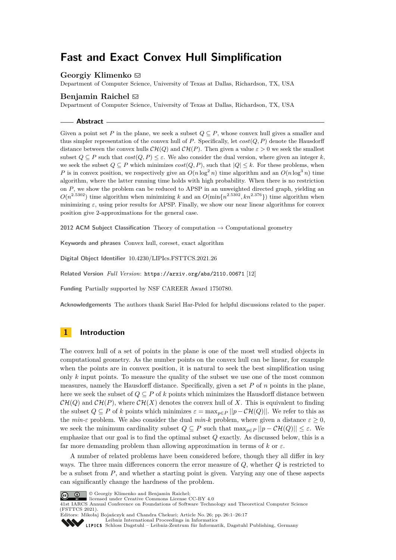# **Fast and Exact Convex Hull Simplification**

## **Georgiy Klimenko** ⊠

Department of Computer Science, University of Texas at Dallas, Richardson, TX, USA

## **Benjamin Raichel** [#](mailto:benjamin.raichel@utdallas.edu)

Department of Computer Science, University of Texas at Dallas, Richardson, TX, USA

**Abstract**

Given a point set P in the plane, we seek a subset  $Q \subseteq P$ , whose convex hull gives a smaller and thus simpler representation of the convex hull of *P*. Specifically, let *cost*(*Q, P*) denote the Hausdorff distance between the convex hulls  $\mathcal{CH}(Q)$  and  $\mathcal{CH}(P)$ . Then given a value  $\varepsilon > 0$  we seek the smallest subset  $Q \subseteq P$  such that  $cost(Q, P) \leq \varepsilon$ . We also consider the dual version, where given an integer *k*, we seek the subset  $Q \subseteq P$  which minimizes  $cost(Q, P)$ , such that  $|Q| \leq k$ . For these problems, when *P* is in convex position, we respectively give an  $O(n \log^2 n)$  time algorithm and an  $O(n \log^3 n)$  time algorithm, where the latter running time holds with high probability. When there is no restriction on *P*, we show the problem can be reduced to APSP in an unweighted directed graph, yielding an  $O(n^{2.5302})$  time algorithm when minimizing *k* and an  $O(\min\{n^{2.5302}, kn^{2.376}\})$  time algorithm when minimizing  $\varepsilon$ , using prior results for APSP. Finally, we show our near linear algorithms for convex position give 2-approximations for the general case.

**2012 ACM Subject Classification** Theory of computation → Computational geometry

**Keywords and phrases** Convex hull, coreset, exact algorithm

**Digital Object Identifier** [10.4230/LIPIcs.FSTTCS.2021.26](https://doi.org/10.4230/LIPIcs.FSTTCS.2021.26)

**Related Version** *Full Version*: <https://arxiv.org/abs/2110.00671> [\[12\]](#page-15-0)

**Funding** Partially supported by NSF CAREER Award 1750780.

**Acknowledgements** The authors thank Sariel Har-Peled for helpful discussions related to the paper.

# **1 Introduction**

The convex hull of a set of points in the plane is one of the most well studied objects in computational geometry. As the number points on the convex hull can be linear, for example when the points are in convex position, it is natural to seek the best simplification using only *k* input points. To measure the quality of the subset we use one of the most common measures, namely the Hausdorff distance. Specifically, given a set *P* of *n* points in the plane, here we seek the subset of  $Q \subseteq P$  of  $k$  points which minimizes the Hausdorff distance between  $\mathcal{CH}(Q)$  and  $\mathcal{CH}(P)$ , where  $\mathcal{CH}(X)$  denotes the convex hull of X. This is equivalent to finding the subset  $Q \subseteq P$  of k points which minimizes  $\varepsilon = \max_{p \in P} ||p - \mathcal{CH}(Q)||$ . We refer to this as the *min-ε* problem. We also consider the dual *min-k* problem, where given a distance  $\varepsilon \geq 0$ , we seek the minimum cardinality subset  $Q \subseteq P$  such that  $\max_{p \in P} ||p - \mathcal{CH}(Q)|| \leq \varepsilon$ . We emphasize that our goal is to find the optimal subset *Q* exactly. As discussed below, this is a far more demanding problem than allowing approximation in terms of  $k$  or  $\varepsilon$ .

A number of related problems have been considered before, though they all differ in key ways. The three main differences concern the error measure of *Q*, whether *Q* is restricted to be a subset from *P*, and whether a starting point is given. Varying any one of these aspects can significantly change the hardness of the problem.



© Georgiy Klimenko and Benjamin Raichel;

licensed under Creative Commons License CC-BY 4.0

41st IARCS Annual Conference on Foundations of Software Technology and Theoretical Computer Science (FSTTCS 2021). Editors: Mikołaj Bojańczyk and Chandra Chekuri; Article No. 26; pp. 26:1–26:17

[Leibniz International Proceedings in Informatics](https://www.dagstuhl.de/lipics/) [Schloss Dagstuhl – Leibniz-Zentrum für Informatik, Dagstuhl Publishing, Germany](https://www.dagstuhl.de)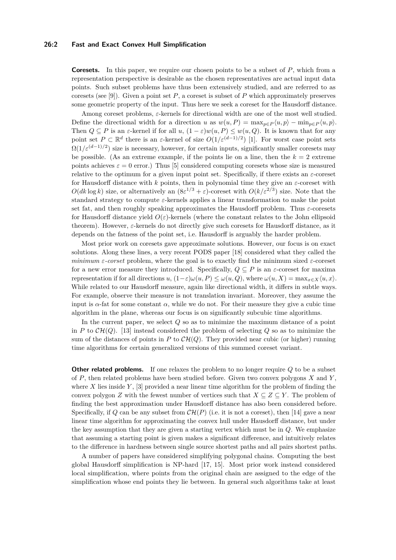#### **26:2 Fast and Exact Convex Hull Simplification**

**Coresets.** In this paper, we require our chosen points to be a subset of *P*, which from a representation perspective is desirable as the chosen representatives are actual input data points. Such subset problems have thus been extensively studied, and are referred to as coresets (see [\[9\]](#page-15-1)). Given a point set  $P$ , a coreset is subset of  $P$  which approximately preserves some geometric property of the input. Thus here we seek a coreset for the Hausdorff distance.

Among coreset problems, *ε*-kernels for directional width are one of the most well studied. Define the directional width for a direction *u* as  $w(u, P) = \max_{p \in P} \langle u, p \rangle - \min_{p \in P} \langle u, p \rangle$ . Then  $Q \subseteq P$  is an  $\varepsilon$ -kernel if for all  $u$ ,  $(1 - \varepsilon)w(u, P) \leq w(u, Q)$ . It is known that for any point set  $P \subset \mathbb{R}^d$  there is an *ε*-kernel of size  $O(1/\varepsilon^{(d-1)/2})$  [\[1\]](#page-15-2). For worst case point sets  $\Omega(1/\varepsilon^{(d-1)/2})$  size is necessary, however, for certain inputs, significantly smaller coresets may be possible. (As an extreme example, if the points lie on a line, then the  $k = 2$  extreme points achieves  $\varepsilon = 0$  error.) Thus [\[5\]](#page-15-3) considered computing coresets whose size is measured relative to the optimum for a given input point set. Specifically, if there exists an  $\varepsilon$ -coreset for Hausdorff distance with *k* points, then in polynomial time they give an *ε*-coreset with  $O(dk \log k)$  size, or alternatively an  $(8\varepsilon^{1/3} + \varepsilon)$ -coreset with  $O(k/\varepsilon^{2/3})$  size. Note that the standard strategy to compute  $\varepsilon$ -kernels applies a linear transformation to make the point set fat, and then roughly speaking approximates the Hausdorff problem. Thus *ε*-coresets for Hausdorff distance yield  $O(\varepsilon)$ -kernels (where the constant relates to the John ellipsoid theorem). However, *ε*-kernels do not directly give such coresets for Hausdorff distance, as it depends on the fatness of the point set, i.e. Hausdorff is arguably the harder problem.

Most prior work on coresets gave approximate solutions. However, our focus is on exact solutions. Along these lines, a very recent PODS paper [\[18\]](#page-16-0) considered what they called the *minimum*  $\varepsilon$ -corset problem, where the goal is to exactly find the minimum sized  $\varepsilon$ -coreset for a new error measure they introduced. Specifically,  $Q \subseteq P$  is an  $\varepsilon$ -coreset for maxima representation if for all directions  $u$ ,  $(1-\varepsilon)\omega(u, P) \leq \omega(u, Q)$ , where  $\omega(u, X) = \max_{x \in X} \langle u, x \rangle$ . While related to our Hausdorff measure, again like directional width, it differs in subtle ways. For example, observe their measure is not translation invariant. Moreover, they assume the input is  $\alpha$ -fat for some constant  $\alpha$ , while we do not. For their measure they give a cubic time algorithm in the plane, whereas our focus is on significantly subcubic time algorithms.

In the current paper, we select *Q* so as to minimize the maximum distance of a point in *P* to  $\mathcal{CH}(Q)$ . [\[13\]](#page-15-4) instead considered the problem of selecting *Q* so as to minimize the sum of the distances of points in P to  $CH(Q)$ . They provided near cubic (or higher) running time algorithms for certain generalized versions of this summed coreset variant.

**Other related problems.** If one relaxes the problem to no longer require *Q* to be a subset of *P*, then related problems have been studied before. Given two convex polygons *X* and *Y* , where *X* lies inside *Y* , [\[3\]](#page-15-5) provided a near linear time algorithm for the problem of finding the convex polygon *Z* with the fewest number of vertices such that  $X \subseteq Z \subseteq Y$ . The problem of finding the best approximation under Hausdorff distance has also been considered before. Specifically, if Q can be any subset from  $\mathcal{CH}(P)$  (i.e. it is not a coreset), then [\[14\]](#page-15-6) gave a near linear time algorithm for approximating the convex hull under Hausdorff distance, but under the key assumption that they are given a starting vertex which must be in *Q*. We emphasize that assuming a starting point is given makes a significant difference, and intuitively relates to the difference in hardness between single source shortest paths and all pairs shortest paths.

A number of papers have considered simplifying polygonal chains. Computing the best global Hausdorff simplification is NP-hard [\[17,](#page-16-1) [15\]](#page-15-7). Most prior work instead considered local simplification, where points from the original chain are assigned to the edge of the simplification whose end points they lie between. In general such algorithms take at least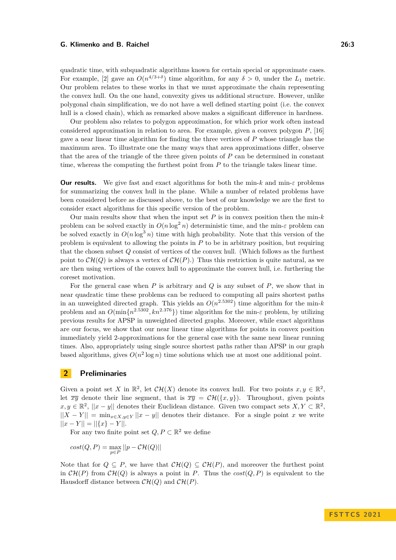quadratic time, with subquadratic algorithms known for certain special or approximate cases. For example, [\[2\]](#page-15-8) gave an  $O(n^{4/3+\delta})$  time algorithm, for any  $\delta > 0$ , under the  $L_1$  metric. Our problem relates to these works in that we must approximate the chain representing the convex hull. On the one hand, convexity gives us additional structure. However, unlike polygonal chain simplification, we do not have a well defined starting point (i.e. the convex hull is a closed chain), which as remarked above makes a significant difference in hardness.

Our problem also relates to polygon approximation, for which prior work often instead considered approximation in relation to area. For example, given a convex polygon *P*, [\[16\]](#page-15-9) gave a near linear time algorithm for finding the three vertices of *P* whose triangle has the maximum area. To illustrate one the many ways that area approximations differ, observe that the area of the triangle of the three given points of *P* can be determined in constant time, whereas the computing the furthest point from *P* to the triangle takes linear time.

**Our results.** We give fast and exact algorithms for both the min-*k* and min- $\varepsilon$  problems for summarizing the convex hull in the plane. While a number of related problems have been considered before as discussed above, to the best of our knowledge we are the first to consider exact algorithms for this specific version of the problem.

Our main results show that when the input set  $P$  is in convex position then the min- $k$ problem can be solved exactly in  $O(n \log^2 n)$  deterministic time, and the min- $\varepsilon$  problem can be solved exactly in  $O(n \log^3 n)$  time with high probability. Note that this version of the problem is equivalent to allowing the points in *P* to be in arbitrary position, but requiring that the chosen subset *Q* consist of vertices of the convex hull. (Which follows as the furthest point to  $\mathcal{CH}(Q)$  is always a vertex of  $\mathcal{CH}(P)$ .) Thus this restriction is quite natural, as we are then using vertices of the convex hull to approximate the convex hull, i.e. furthering the coreset motivation.

For the general case when *P* is arbitrary and *Q* is any subset of *P*, we show that in near quadratic time these problems can be reduced to computing all pairs shortest paths in an unweighted directed graph. This yields an  $O(n^{2.5302})$  time algorithm for the min-*k* problem and an  $O(\min\{n^{2.5302}, kn^{2.376}\})$  time algorithm for the min-*ε* problem, by utilizing previous results for APSP in unweighted directed graphs. Moreover, while exact algorithms are our focus, we show that our near linear time algorithms for points in convex position immediately yield 2-approximations for the general case with the same near linear running times. Also, appropriately using single source shortest paths rather than APSP in our graph based algorithms, gives  $O(n^2 \log n)$  time solutions which use at most one additional point.

# **2 Preliminaries**

Given a point set *X* in  $\mathbb{R}^2$ , let  $\mathcal{CH}(X)$  denote its convex hull. For two points  $x, y \in \mathbb{R}^2$ , let  $\overline{xy}$  denote their line segment, that is  $\overline{xy} = \mathcal{CH}(\{x,y\})$ . Throughout, given points *x*, *y* ∈  $\mathbb{R}^2$ , ||*x* − *y*|| denotes their Euclidean distance. Given two compact sets *X*, *Y* ⊂  $\mathbb{R}^2$ ,  $||X - Y|| = \min_{x \in X, y \in Y} ||x - y||$  denotes their distance. For a single point *x* we write  $||x - Y|| = ||{x} - Y||.$ 

For any two finite point set  $Q, P \subset \mathbb{R}^2$  we define

$$
cost(Q,P) = \max_{p \in P} ||p - \mathcal{CH}(Q)||
$$

Note that for  $Q \subseteq P$ , we have that  $\mathcal{CH}(Q) \subseteq \mathcal{CH}(P)$ , and moreover the furthest point in  $\mathcal{CH}(P)$  from  $\mathcal{CH}(Q)$  is always a point in *P*. Thus the  $cost(Q, P)$  is equivalent to the Hausdorff distance between  $\mathcal{CH}(Q)$  and  $\mathcal{CH}(P)$ .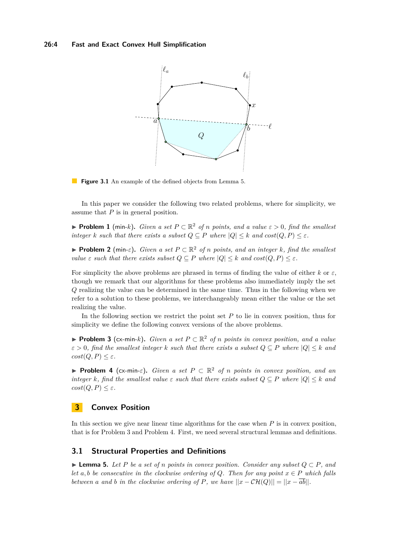<span id="page-3-3"></span>



In this paper we consider the following two related problems, where for simplicity, we assume that *P* is in general position.

<span id="page-3-4"></span>▶ **Problem 1** (min-k). *Given a set*  $P \subset \mathbb{R}^2$  *of n points, and a value*  $\varepsilon > 0$ *, find the smallest integer k such that there exists a subset*  $Q \subseteq P$  *where*  $|Q| \leq k$  *and*  $cost(Q, P) \leq \varepsilon$ *.* 

<span id="page-3-5"></span>▶ **Problem 2** (min- $\varepsilon$ ). *Given a set*  $P \subset \mathbb{R}^2$  *of n points, and an integer k, find the smallest value*  $\varepsilon$  *such that there exists subset*  $Q \subseteq P$  *where*  $|Q| \leq k$  *and*  $cost(Q, P) \leq \varepsilon$ *.* 

For simplicity the above problems are phrased in terms of finding the value of either  $k$  or  $\varepsilon$ , though we remark that our algorithms for these problems also immediately imply the set *Q* realizing the value can be determined in the same time. Thus in the following when we refer to a solution to these problems, we interchangeably mean either the value or the set realizing the value.

In the following section we restrict the point set *P* to lie in convex position, thus for simplicity we define the following convex versions of the above problems.

<span id="page-3-1"></span>▶ **Problem 3** (cx-min-*k*)**.** *Given a set P* ⊂ R <sup>2</sup> *of n points in convex position, and a value*  $\varepsilon > 0$ , find the smallest integer *k* such that there exists a subset  $Q \subseteq P$  where  $|Q| \leq k$  and  $cost(Q, P) \leq \varepsilon$ *.* 

<span id="page-3-2"></span>**► Problem 4** (cx-min- $\varepsilon$ ). *Given a set*  $P \subset \mathbb{R}^2$  *of n points in convex position, and an integer k, find the smallest value*  $\varepsilon$  *such that there exists subset*  $Q \subseteq P$  *where*  $|Q| \leq k$  *and*  $cost(Q, P) \leq \varepsilon$ *.* 

# <span id="page-3-6"></span>**3 Convex Position**

In this section we give near linear time algorithms for the case when *P* is in convex position, that is for [Problem 3](#page-3-1) and [Problem 4.](#page-3-2) First, we need several structural lemmas and definitions.

## **3.1 Structural Properties and Definitions**

<span id="page-3-0"></span>▶ **Lemma 5.** *Let P be a set of n points in convex position. Consider any subset Q* ⊂ *P, and let*  $a, b$  *be consecutive in the clockwise ordering of Q. Then for any point*  $x \in P$  *which falls between a and b in the clockwise ordering of P, we have*  $||x - \mathcal{CH}(Q)|| = ||x - \overline{ab}||$ *.*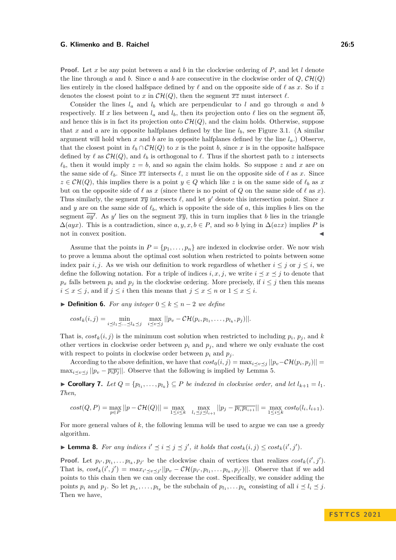**Proof.** Let *x* be any point between *a* and *b* in the clockwise ordering of *P*, and let *l* denote the line through *a* and *b*. Since *a* and *b* are consecutive in the clockwise order of  $Q$ ,  $CH(Q)$ lies entirely in the closed halfspace defined by  $\ell$  and on the opposite side of  $\ell$  as x. So if z denotes the closest point to *x* in  $\mathcal{CH}(Q)$ , then the segment  $\overline{xz}$  must intersect  $\ell$ .

Consider the lines  $l_a$  and  $l_b$  which are perpendicular to  $l$  and go through  $a$  and  $b$ respectively. If *x* lies between  $l_a$  and  $l_b$ , then its projection onto  $\ell$  lies on the segment  $\overline{ab}$ . and hence this is in fact its projection onto  $\mathcal{CH}(Q)$ , and the claim holds. Otherwise, suppose that x and a are in opposite halfplanes defined by the line  $l_b$ , see [Figure 3.1.](#page-3-3) (A similar argument will hold when  $x$  and  $b$  are in opposite halfplanes defined by the line  $l_a$ .) Observe, that the closest point in  $\ell_b \cap \mathcal{CH}(Q)$  to x is the point *b*, since x is in the opposite halfspace defined by  $\ell$  as  $\mathcal{CH}(Q)$ , and  $\ell_b$  is orthogonal to  $\ell$ . Thus if the shortest path to *z* intersects  $\ell_b$ , then it would imply  $z = b$ , and so again the claim holds. So suppose z and x are on the same side of  $\ell_b$ . Since  $\overline{xz}$  intersects  $\ell, z$  must lie on the opposite side of  $\ell$  as *x*. Since  $z \in \mathcal{CH}(Q)$ , this implies there is a point  $y \in Q$  which like *z* is on the same side of  $\ell_b$  as *x* but on the opposite side of  $\ell$  as  $x$  (since there is no point of  $Q$  on the same side of  $\ell$  as  $x$ ). Thus similarly, the segment  $\overline{xy}$  intersects  $\ell$ , and let  $y'$  denote this intersection point. Since  $x$ and *y* are on the same side of  $\ell_b$ , which is opposite the side of *a*, this implies *b* lies on the segment  $\overline{ay'}$ . As y' lies on the segment  $\overline{xy}$ , this in turn implies that b lies in the triangle  $\Delta(ayx)$ . This is a contradiction, since *a*, y, x, b ∈ *P*, and so *b* lying in  $\Delta(azx)$  implies *P* is not in convex position.

Assume that the points in  $P = \{p_1, \ldots, p_n\}$  are indexed in clockwise order. We now wish to prove a lemma about the optimal cost solution when restricted to points between some index pair *i, j*. As we wish our definition to work regardless of whether  $i \leq j$  or  $j \leq i$ , we define the following notation. For a triple of indices  $i, x, j$ , we write  $i \leq x \leq j$  to denote that  $p_x$  falls between  $p_i$  and  $p_j$  in the clockwise ordering. More precisely, if  $i \leq j$  then this means  $i \leq x \leq j$ , and if  $j \leq i$  then this means that  $j \leq x \leq n$  or  $1 \leq x \leq i$ .

<span id="page-4-2"></span>▶ **Definition 6.** *For any integer*  $0 \le k \le n-2$  *we define* 

$$
cost_k(i,j) = \min_{i \leq l_1 \leq \ldots \leq l_k \leq j} \quad \max_{i \leq v \leq j} ||p_v - \mathcal{CH}(p_i, p_{l_1}, \ldots, p_{l_k}, p_j)||.
$$

That is,  $cost_k(i, j)$  is the minimum cost solution when restricted to including  $p_i, p_j$ , and  $k$ other vertices in clockwise order between  $p_i$  and  $p_j$ , and where we only evaluate the cost with respect to points in clockwise order between  $p_i$  and  $p_j$ .

According to the above definition, we have that  $cost_0(i, j) = \max_{i \le v \le j} ||p_v - \mathcal{CH}(p_i, p_j)|| =$  $\max_{i \leq v \leq j} ||p_v - \overline{p_i p_j}||$ . Observe that the following is implied by [Lemma 5.](#page-3-0)

<span id="page-4-1"></span>▶ **Corollary 7.** Let  $Q = \{p_{l_1}, \ldots, p_{l_k}\}$  ⊆ *P be indexed in clockwise order, and let*  $l_{k+1} = l_1$ *. Then,*

$$
cost(Q, P) = \max_{p \in P} ||p - \mathcal{CH}(Q)|| = \max_{1 \leq i \leq k} \max_{l_i \leq j \leq l_{i+1}} ||p_j - \overline{p_{l_i} p_{l_{i+1}}}|| = \max_{1 \leq i \leq k} cost_0(l_i, l_{i+1}).
$$

For more general values of *k*, the following lemma will be used to argue we can use a greedy algorithm.

<span id="page-4-0"></span>▶ **Lemma 8.** *For any indices*  $i' \leq i \leq j \leq j'$ , *it holds that*  $cost_k(i, j) \leq cost_k(i', j')$ .

**Proof.** Let  $p_i, p_{l_1}, \ldots, p_{l_k}, p_{j'}$  be the clockwise chain of vertices that realizes  $cost_k(i', j')$ . That is,  $cost_k(i', j') = max_{i' \leq v \leq j'} ||p_v - \mathcal{CH}(p_{i'}, p_{l_1}, \ldots, p_{l_k}, p_{j'})||$ . Observe that if we add points to this chain then we can only decrease the cost. Specifically, we consider adding the points  $p_i$  and  $p_j$ . So let  $p_{l_x}, \ldots, p_{l_y}$  be the subchain of  $p_{l_1}, \ldots, p_{l_k}$  consisting of all  $i \leq l_i \leq j$ . Then we have,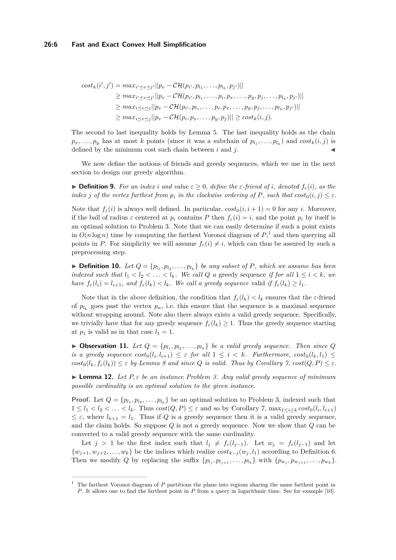$$
cost_k(i',j') = max_{i' \leq v \leq j'} ||p_v - \mathcal{CH}(p_{i'}, p_{l_1}, \dots, p_{l_k}, p_{j'})||
$$
  
\n
$$
\geq max_{i' \leq v \leq j'} ||p_v - \mathcal{CH}(p_{i'}, p_{l_1}, \dots, p_i, p_x, \dots, p_y, p_j, \dots, p_{l_k}, p_{j'})||
$$
  
\n
$$
\geq max_{i \leq v \leq j} ||p_v - \mathcal{CH}(p_{i'}, p_{l_1}, \dots, p_i, p_x, \dots, p_y, p_j, \dots, p_{l_k}, p_{j'})||
$$
  
\n
$$
\geq max_{i \leq v \leq j} ||p_v - \mathcal{CH}(p_{i}, p_x, \dots, p_y, p_j)|| \geq cost_k(i, j).
$$

The second to last inequality holds by [Lemma 5.](#page-3-0) The last inequality holds as the chain  $p_x, \ldots, p_y$  has at most *k* points (since it was a subchain of  $p_{l_1}, \ldots, p_{l_k}$ ) and  $cost_k(i, j)$  is defined by the minimum cost such chain between  $i$  and  $j$ .

We now define the notions of friends and greedy sequences, which we use in the next section to design our greedy algorithm.

 $\triangleright$  **Definition 9.** For an index *i* and value  $\varepsilon > 0$ , define the  $\varepsilon$ -friend of *i*, denoted  $f_{\varepsilon}(i)$ , as the *index j of the vertex furthest from*  $p_i$  *in the clockwise ordering of*  $P$ *, such that*  $cost_0(i, j) \leq \varepsilon$ *.* 

Note that  $f_{\varepsilon}(i)$  is always well defined. In particular,  $cost_0(i, i + 1) = 0$  for any *i*. Moreover, if the ball of radius  $\varepsilon$  centered at  $p_i$  contains P then  $f_{\varepsilon}(i) = i$ , and the point  $p_i$  by itself is an optimal solution to [Problem 3.](#page-3-1) Note that we can easily determine if such a point exists in  $O(n \log n)$  time by computing the farthest Voronoi diagram of  $P$ <sup>[1](#page-5-0)</sup>, and then querying all points in *P*. For simplicity we will assume  $f_{\varepsilon}(i) \neq i$ , which can thus be assured by such a preprocessing step.

<span id="page-5-2"></span>**• Definition 10.** Let  $Q = \{p_{l_1}, p_{l_2}, \ldots, p_{l_k}\}$  be any subset of P, which we assume has been *indexed such that*  $l_1 < l_2 < \ldots < l_k$ *. We call Q a* greedy sequence *if for all*  $1 \leq i < k$ *, we* have  $f_{\varepsilon}(l_i) = l_{i+1}$ , and  $f_{\varepsilon}(l_k) < l_k$ . We call a greedy sequence valid if  $f_{\varepsilon}(l_k) \geq l_1$ .

Note that in the above definition, the condition that  $f_{\varepsilon}(l_k) < l_k$  ensures that the  $\varepsilon$ -friend of  $p_{l_k}$  goes past the vertex  $p_n$ , i.e. this ensure that the sequence is a maximal sequence without wrapping around. Note also there always exists a valid greedy sequence. Specifically, we trivially have that for any greedy sequence  $f_{\varepsilon}(l_k) \geq 1$ . Thus the greedy sequence starting at  $p_1$  is valid as in that case  $l_1 = 1$ .

<span id="page-5-1"></span>**• Observation 11.** Let  $Q = \{p_{l_1}, p_{l_2}, \ldots, p_{l_k}\}\$  be a valid greedy sequence. Then since  $Q$ *is a greedy sequence*  $cost_0(l_i, l_{i+1}) \leq \varepsilon$  *for all*  $1 \leq i \leq k$ *. Furthermore,*  $cost_0(l_k, l_1) \leq$  $cost_0(l_k, f_\varepsilon(l_k)) \leq \varepsilon$  *by [Lemma 8](#page-4-0) and since Q is valid. Thus by [Corollary 7,](#page-4-1)*  $cost(Q, P) \leq \varepsilon$ *.* 

<span id="page-5-3"></span>▶ **Lemma 12.** *Let P, ε be an instance [Problem 3.](#page-3-1) Any valid greedy sequence of minimum possible cardinality is an optimal solution to the given instance.*

**Proof.** Let  $Q = \{p_{l_1}, p_{l_2}, \ldots, p_{l_k}\}$  be an optimal solution to [Problem 3,](#page-3-1) indexed such that  $1 \leq l_1 < l_2 < \ldots < l_k$ . Thus  $cost(Q, P) \leq \varepsilon$  and so by [Corollary 7,](#page-4-1)  $\max_{1 \leq i \leq k} cost_0(l_i, l_{i+1})$  $\leq \varepsilon$ , where  $l_{k+1} = l_1$ . Thus if *Q* is a greedy sequence then it is a valid greedy sequence, and the claim holds. So suppose *Q* is not a greedy sequence. Now we show that *Q* can be converted to a valid greedy sequence with the same cardinality.

Let  $j > 1$  be the first index such that  $l_j \neq f_{\varepsilon}(l_{j-1})$ . Let  $w_j = f_{\varepsilon}(l_{j-1})$  and let  $\{w_{j+1}, w_{j+2}, \ldots, w_k\}$  be the indices which realize  $cost_{k-j}(w_j, l_1)$  according to [Definition 6.](#page-4-2) Then we modify Q by replacing the suffix  $\{p_{l_j}, p_{l_{j+1}}, \ldots, p_{l_k}\}\$  with  $\{p_{w_j}, p_{w_{j+1}}, \ldots, p_{w_k}\}\$ .

<span id="page-5-0"></span><sup>1</sup> The farthest Voronoi diagram of *P* partitions the plane into regions sharing the same farthest point in *P*. It allows one to find the farthest point in *P* from a query in logarithmic time. See for example [\[10\]](#page-15-10).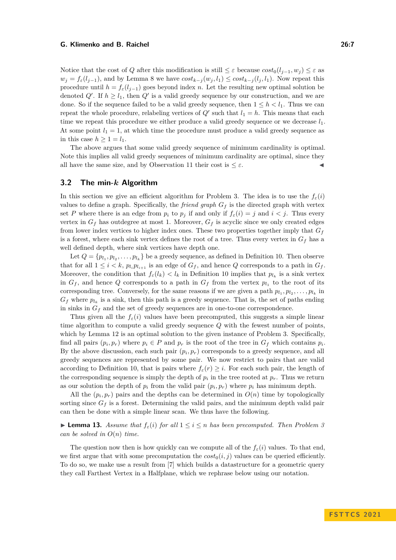Notice that the cost of *Q* after this modification is still  $\leq \varepsilon$  because  $cost_0(l_{i-1}, w_i) \leq \varepsilon$  as  $w_j = f_\varepsilon(l_{j-1})$ , and by [Lemma 8](#page-4-0) we have  $cost_{k-j}(w_j, l_1) \leq cost_{k-j}(l_j, l_1)$ . Now repeat this procedure until  $h = f_{\varepsilon}(l_{i-1})$  goes beyond index *n*. Let the resulting new optimal solution be denoted  $Q'$ . If  $h \geq l_1$ , then  $Q'$  is a valid greedy sequence by our construction, and we are done. So if the sequence failed to be a valid greedy sequence, then  $1 \leq h \leq l_1$ . Thus we can repeat the whole procedure, relabeling vertices of  $Q'$  such that  $l_1 = h$ . This means that each time we repeat this procedure we either produce a valid greedy sequence or we decrease *l*1. At some point  $l_1 = 1$ , at which time the procedure must produce a valid greedy sequence as in this case  $h \geq 1 = l_1$ .

The above argues that some valid greedy sequence of minimum cardinality is optimal. Note this implies all valid greedy sequences of minimum cardinality are optimal, since they all have the same size, and by [Observation 11](#page-5-1) their cost is  $\leq \varepsilon$ .

## **3.2 The min-***k* **Algorithm**

In this section we give an efficient algorithm for [Problem 3.](#page-3-1) The idea is to use the  $f_{\varepsilon}(i)$ values to define a graph. Specifically, the *friend graph*  $G_f$  is the directed graph with vertex set *P* where there is an edge from  $p_i$  to  $p_j$  if and only if  $f_{\varepsilon}(i) = j$  and  $i < j$ . Thus every vertex in  $G_f$  has outdegree at most 1. Moreover,  $G_f$  is acyclic since we only created edges from lower index vertices to higher index ones. These two properties together imply that  $G_f$ is a forest, where each sink vertex defines the root of a tree. Thus every vertex in *G<sup>f</sup>* has a well defined depth, where sink vertices have depth one.

Let  $Q = \{p_1, p_2, \ldots, p_{l_k}\}\$ be a greedy sequence, as defined in [Definition 10.](#page-5-2) Then observe that for all  $1 \leq i \leq k$ ,  $p_{l_i} p_{l_{i+1}}$  is an edge of  $G_f$ , and hence  $Q$  corresponds to a path in  $G_f$ . Moreover, the condition that  $f_{\varepsilon}(l_k) < l_k$  in [Definition 10](#page-5-2) implies that  $p_{l_k}$  is a sink vertex in  $G_f$ , and hence Q corresponds to a path in  $G_f$  from the vertex  $p_{l_1}$  to the root of its corresponding tree. Conversely, for the same reasons if we are given a path  $p_{l_1}, p_{l_2}, \ldots, p_{l_k}$  in  $G_f$  where  $p_{l_k}$  is a sink, then this path is a greedy sequence. That is, the set of paths ending in sinks in  $G_f$  and the set of greedy sequences are in one-to-one correspondence.

Thus given all the  $f_{\varepsilon}(i)$  values have been precomputed, this suggests a simple linear time algorithm to compute a valid greedy sequence *Q* with the fewest number of points, which by [Lemma 12](#page-5-3) is an optimal solution to the given instance of [Problem 3.](#page-3-1) Specifically, find all pairs  $(p_i, p_r)$  where  $p_i \in P$  and  $p_r$  is the root of the tree in  $G_f$  which contains  $p_i$ . By the above discussion, each such pair  $(p_i, p_r)$  corresponds to a greedy sequence, and all greedy sequences are represented by some pair. We now restrict to pairs that are valid according to [Definition 10,](#page-5-2) that is pairs where  $f_{\varepsilon}(r) \geq i$ . For each such pair, the length of the corresponding sequence is simply the depth of  $p_i$  in the tree rooted at  $p_r$ . Thus we return as our solution the depth of  $p_i$  from the valid pair  $(p_i, p_r)$  where  $p_i$  has minimum depth.

All the  $(p_i, p_r)$  pairs and the depths can be determined in  $O(n)$  time by topologically sorting since  $G_f$  is a forest. Determining the valid pairs, and the minimum depth valid pair can then be done with a simple linear scan. We thus have the following.

<span id="page-6-0"></span>▶ **Lemma 13.** Assume that  $f_{\varepsilon}(i)$  for all  $1 \leq i \leq n$  has been precomputed. Then [Problem 3](#page-3-1) *can be solved in*  $O(n)$  *time.* 

The question now then is how quickly can we compute all of the  $f_{\varepsilon}(i)$  values. To that end, we first argue that with some precomputation the  $cost_0(i, j)$  values can be queried efficiently. To do so, we make use a result from [\[7\]](#page-15-11) which builds a datastructure for a geometric query they call Farthest Vertex in a Halfplane, which we rephrase below using our notation.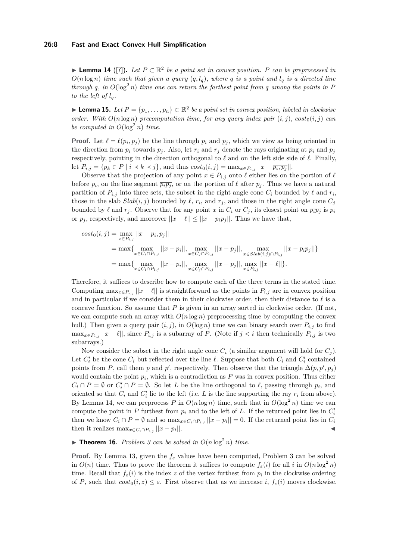#### **26:8 Fast and Exact Convex Hull Simplification**

<span id="page-7-0"></span>▶ **Lemma 14** ([\[7\]](#page-15-11))**.** *Let P* ⊂ R 2 *be a point set in convex position. P can be preprocessed in*  $O(n \log n)$  *time such that given a query*  $(q, l_q)$ *, where q is a point and*  $l_q$  *is a directed line through q, in*  $O(\log^2 n)$  *time one can return the farthest point from q among the points in P to the left of*  $l_q$ *.* 

<span id="page-7-1"></span>▶ **Lemma 15.** *Let*  $P = \{p_1, \ldots, p_n\}$  ⊂  $\mathbb{R}^2$  *be a point set in convex position, labeled in clockwise order.* With  $O(n \log n)$  precomputation time, for any query index pair  $(i, j)$ *,*  $cost_0(i, j)$  can *be computed in*  $O(\log^2 n)$  *time.* 

**Proof.** Let  $\ell = \ell(p_i, p_j)$  be the line through  $p_i$  and  $p_j$ , which we view as being oriented in the direction from  $p_i$  towards  $p_j$ . Also, let  $r_i$  and  $r_j$  denote the rays originating at  $p_i$  and  $p_j$ respectively, pointing in the direction orthogonal to  $\ell$  and on the left side side of  $\ell$ . Finally, let  $P_{i,j} = \{p_k \in P \mid i \prec k \prec j\}$ , and thus  $cost_0(i,j) = \max_{x \in P_{i,j}} ||x - \overline{p_i, p_j}||$ .

Observe that the projection of any point  $x \in P_{i,j}$  onto  $\ell$  either lies on the portion of  $\ell$ before  $p_i$ , on the line segment  $\overline{p_i p_j}$ , or on the portion of  $\ell$  after  $p_j$ . Thus we have a natural partition of  $P_{i,j}$  into three sets, the subset in the right angle cone  $C_i$  bounded by  $\ell$  and  $r_i$ , those in the slab  $Slab(i, j)$  bounded by  $\ell$ ,  $r_i$ , and  $r_j$ , and those in the right angle cone  $C_j$ bounded by  $\ell$  and  $r_j$ . Observe that for any point *x* in  $C_i$  or  $C_j$ , its closest point on  $\overline{p_i p_j}$  is  $p_i$ or  $p_j$ , respectively, and moreover  $||x - \ell|| \le ||x - \overline{p_i p_j}||$ . Thus we have that,

$$
cost_0(i,j) = \max_{x \in P_{i,j}} ||x - \overline{p_i}, \overline{p_j}||
$$
  
= max{ $\max_{x \in C_i \cap P_{i,j}} ||x - p_i||$ , max<sub>x \in C\_j \cap P\_{i,j}} ||x - p\_j||, max<sub>x \in Stab(i,j) \cap P\_{i,j} ||x - \overline{p\_i p\_j}||}  
= max{ $\max_{x \in C_i \cap P_{i,j}} ||x - p_i||$ , max<sub>x \in C\_j \cap P\_{i,j}} ||x - p\_j||, max<sub>x \in P\_{i,j} ||x - \ell||</sub> }.</sub></sub></sub>

Therefore, it suffices to describe how to compute each of the three terms in the stated time. Computing  $\max_{x \in P_{i,j}} ||x - \ell||$  is straightforward as the points in  $P_{i,j}$  are in convex position and in particular if we consider them in their clockwise order, then their distance to *ℓ* is a concave function. So assume that *P* is given in an array sorted in clockwise order. (If not, we can compute such an array with  $O(n \log n)$  preprocessing time by computing the convex hull.) Then given a query pair  $(i, j)$ , in  $O(\log n)$  time we can binary search over  $P_{i,j}$  to find  $\max_{x \in P_i} |x - \ell|$ , since  $P_{i,j}$  is a subarray of *P*. (Note if  $j < i$  then technically  $P_{i,j}$  is two subarrays.)

Now consider the subset in the right angle cone  $C_i$  (a similar argument will hold for  $C_j$ ). Let  $C_i'$  be the cone  $C_i$  but reflected over the line  $\ell$ . Suppose that both  $C_i$  and  $C_i'$  contained points from *P*, call them *p* and *p*<sup>'</sup>, respectively. Then observe that the triangle  $\Delta(p, p', p_j)$ would contain the point  $p_i$ , which is a contradiction as  $P$  was in convex position. Thus either  $C_i \cap P = \emptyset$  or  $C'_i \cap P = \emptyset$ . So let *L* be the line orthogonal to  $\ell$ , passing through  $p_i$ , and oriented so that  $C_i$  and  $C'_i$  lie to the left (i.e.  $L$  is the line supporting the ray  $r_i$  from above). By [Lemma 14,](#page-7-0) we can preprocess P in  $O(n \log n)$  time, such that in  $O(\log^2 n)$  time we can compute the point in  $P$  furthest from  $p_i$  and to the left of  $L$ . If the returned point lies in  $C_i'$ then we know  $C_i \cap P = \emptyset$  and so  $\max_{x \in C_i \cap P_{i,j}} ||x - p_i|| = 0$ . If the returned point lies in  $C_i$ then it realizes  $\max_{x \in C_i \cap P_{i,j}} ||x - p_i||$ .  $\parallel$ .  $\parallel$ 

# <span id="page-7-2"></span> $\blacktriangleright$  **Theorem 16.** *[Problem 3](#page-3-1) can be solved in*  $O(n \log^2 n)$  *time.*

**Proof.** By [Lemma 13,](#page-6-0) given the  $f_{\varepsilon}$  values have been computed, [Problem 3](#page-3-1) can be solved in  $O(n)$  time. Thus to prove the theorem it suffices to compute  $f_{\varepsilon}(i)$  for all *i* in  $O(n \log^2 n)$ time. Recall that  $f_{\varepsilon}(i)$  is the index *z* of the vertex furthest from  $p_i$  in the clockwise ordering of *P*, such that  $cost_0(i, z) \leq \varepsilon$ . First observe that as we increase *i*,  $f_{\varepsilon}(i)$  moves clockwise.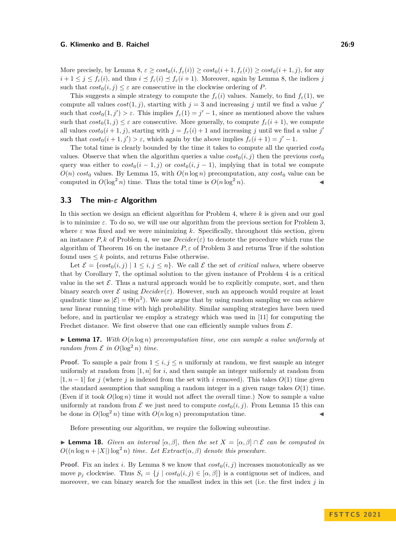More precisely, by [Lemma 8,](#page-4-0)  $\varepsilon \geq \cos t_0(i, f_\varepsilon(i)) \geq \cos t_0(i+1, f_\varepsilon(i)) \geq \cos t_0(i+1, j)$ , for any  $i+1 \leq j \leq f_{\varepsilon}(i)$ , and thus  $i \leq f_{\varepsilon}(i) \leq f_{\varepsilon}(i+1)$ . Moreover, again by [Lemma 8,](#page-4-0) the indices *j* such that  $cost_0(i, j) \leq \varepsilon$  are consecutive in the clockwise ordering of *P*.

This suggests a simple strategy to compute the  $f_{\varepsilon}(i)$  values. Namely, to find  $f_{\varepsilon}(1)$ , we compute all values  $cost(1, j)$ , starting with  $j = 3$  and increasing *j* until we find a value *j'* such that  $cost_0(1, j') > \varepsilon$ . This implies  $f_{\varepsilon}(1) = j' - 1$ , since as mentioned above the values such that  $cost_0(1, j) \leq \varepsilon$  are consecutive. More generally, to compute  $f_{\varepsilon}(i+1)$ , we compute all values  $cost_0(i + 1, j)$ , starting with  $j = f_{\varepsilon}(i) + 1$  and increasing *j* until we find a value *j'* such that  $cost_0(i + 1, j') > \varepsilon$ , which again by the above implies  $f_{\varepsilon}(i + 1) = j' - 1$ .

The total time is clearly bounded by the time it takes to compute all the queried  $cost_0$ values. Observe that when the algorithm queries a value  $cost_0(i, j)$  then the previous  $cost_0$ query was either to  $cost_0(i-1,j)$  or  $cost_0(i,j-1)$ , implying that in total we compute  $O(n)$  *cost*<sub>0</sub> values. By [Lemma 15,](#page-7-1) with  $O(n \log n)$  precomputation, any *cost*<sub>0</sub> value can be computed in  $O(\log^2 n)$  time. Thus the total time is  $O(n \log^2 n)$ .

# **3.3 The min-***ε* **Algorithm**

In this section we design an efficient algorithm for [Problem 4,](#page-3-2) where *k* is given and our goal is to minimize  $\varepsilon$ . To do so, we will use our algorithm from the previous section for [Problem 3,](#page-3-1) where  $\varepsilon$  was fixed and we were minimizing k. Specifically, throughout this section, given an instance  $P, k$  of [Problem 4,](#page-3-2) we use  $Decider(\varepsilon)$  to denote the procedure which runs the algorithm of [Theorem 16](#page-7-2) on the instance  $P, \varepsilon$  of [Problem 3](#page-3-1) and returns True if the solution found uses  $\leq k$  points, and returns False otherwise.

Let  $\mathcal{E} = \{ cost_0(i,j) \mid 1 \leq i,j \leq n \}$ . We call  $\mathcal{E}$  the set of *critical values*, where observe that by [Corollary 7,](#page-4-1) the optimal solution to the given instance of [Problem 4](#page-3-2) is a critical value in the set  $\mathcal{E}$ . Thus a natural approach would be to explicitly compute, sort, and then binary search over  $\mathcal E$  using  $Decider(\varepsilon)$ . However, such an approach would require at least quadratic time as  $|\mathcal{E}| = \Theta(n^2)$ . We now argue that by using random sampling we can achieve near linear running time with high probability. Similar sampling strategies have been used before, and in particular we employ a strategy which was used in [\[11\]](#page-15-12) for computing the Frechet distance. We first observe that one can efficiently sample values from  $\mathcal{E}$ .

<span id="page-8-1"></span>**Lemma 17.** With  $O(n \log n)$  precomputation time, one can sample a value uniformly at *random from*  $\mathcal E$  *in*  $O(\log^2 n)$  *time.* 

**Proof.** To sample a pair from  $1 \leq i, j \leq n$  uniformly at random, we first sample an integer uniformly at random from  $[1, n]$  for *i*, and then sample an integer uniformly at random from  $[1, n-1]$  for *j* (where *j* is indexed from the set with *i* removed). This takes  $O(1)$  time given the standard assumption that sampling a random integer in a given range takes  $O(1)$  time. (Even if it took  $O(\log n)$ ) time it would not affect the overall time.) Now to sample a value uniformly at random from  $\mathcal E$  we just need to compute  $cost_0(i, j)$ . From [Lemma 15](#page-7-1) this can be done in  $O(\log^2 n)$  time with  $O(n \log n)$  precomputation time.

Before presenting our algorithm, we require the following subroutine.

<span id="page-8-0"></span>**► Lemma 18.** *Given an interval*  $[\alpha, \beta]$ *, then the set*  $X = [\alpha, \beta] \cap \mathcal{E}$  *can be computed in*  $O((n \log n + |X|) \log^2 n)$  *time. Let*  $Extract(\alpha, \beta)$  *denote this procedure.* 

**Proof.** Fix an index *i*. By [Lemma 8](#page-4-0) we know that  $cost_0(i, j)$  increases monotonically as we move  $p_j$  clockwise. Thus  $S_i = \{j \mid cost_0(i,j) \in [\alpha, \beta]\}$  is a contiguous set of indices, and moreover, we can binary search for the smallest index in this set (i.e. the first index *j* in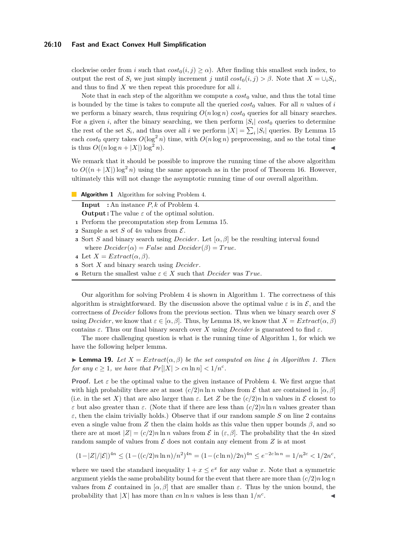#### **26:10 Fast and Exact Convex Hull Simplification**

clockwise order from *i* such that  $cost_0(i, j) \ge \alpha$ . After finding this smallest such index, to output the rest of  $S_i$  we just simply increment *j* until  $cost_0(i, j) > \beta$ . Note that  $X = \bigcup_i S_i$ , and thus to find *X* we then repeat this procedure for all *i*.

Note that in each step of the algorithm we compute a  $cost_0$  value, and thus the total time is bounded by the time is takes to compute all the queried  $cost_0$  values. For all *n* values of *i* we perform a binary search, thus requiring  $O(n \log n) \cos t_0$  queries for all binary searches. For a given *i*, after the binary searching, we then perform  $|S_i|$  cost<sub>0</sub> queries to determine the rest of the set  $S_i$ , and thus over all *i* we perform  $|X| = \sum_i |S_i|$  queries. By [Lemma 15](#page-7-1) each  $cost_0$  query takes  $O(\log^2 n)$  time, with  $O(n \log n)$  preprocessing, and so the total time is thus  $O((n \log n + |X|) \log^2 n)$ .

We remark that it should be possible to improve the running time of the above algorithm to  $O((n+|X|)\log^2 n)$  using the same approach as in the proof of [Theorem 16.](#page-7-2) However, ultimately this will not change the asymptotic running time of our overall algorithm.

**Algorithm 1** Algorithm for solving [Problem 4.](#page-3-2)

**Input :** An instance *P, k* of [Problem 4.](#page-3-2) **Output :** The value *ε* of the optimal solution.

- <span id="page-9-3"></span>**<sup>1</sup>** Perform the precomputation step from [Lemma 15.](#page-7-1)
- <span id="page-9-2"></span>**2** Sample a set *S* of 4*n* values from  $\mathcal{E}$ .
- **<sup>3</sup>** Sort *S* and binary search using *Decider*. Let [*α, β*] be the resulting interval found where  $Decider(\alpha) = False$  and  $Decider(\beta) = True$ .
- <span id="page-9-1"></span>**4** Let  $X = Extract(\alpha, \beta)$ .
- <span id="page-9-4"></span>**<sup>5</sup>** Sort *X* and binary search using *Decider*.
- <span id="page-9-0"></span>**6** Return the smallest value  $\varepsilon \in X$  such that *Decider* was *True*.

Our algorithm for solving [Problem 4](#page-3-2) is shown in [Algorithm 1.](#page-9-0) The correctness of this algorithm is straightforward. By the discussion above the optimal value  $\varepsilon$  is in  $\mathcal{E}$ , and the correctness of *Decider* follows from the previous section. Thus when we binary search over *S* using *Decider*, we know that  $\varepsilon \in [\alpha, \beta]$ . Thus, by [Lemma 18,](#page-8-0) we know that  $X = Extract(\alpha, \beta)$ contains *ε*. Thus our final binary search over *X* using *Decider* is guaranteed to find *ε*.

The more challenging question is what is the running time of [Algorithm 1,](#page-9-0) for which we have the following helper lemma.

<span id="page-9-5"></span> $\blacktriangleright$  **Lemma 19.** Let  $X = Extract(\alpha, \beta)$  be the set computed on line [4](#page-9-1) in [Algorithm 1.](#page-9-0) Then *for any*  $c \geq 1$ *, we have that*  $Pr[|X| > cn \ln n] < 1/n^c$ *.* 

**Proof.** Let  $\varepsilon$  be the optimal value to the given instance of [Problem 4.](#page-3-2) We first argue that with high probability there are at most  $(c/2)n \ln n$  values from  $\mathcal E$  that are contained in [ $\alpha$ ,  $\beta$ ] (i.e. in the set X) that are also larger than  $\varepsilon$ . Let Z be the  $(c/2)n \ln n$  values in E closest to *ε* but also greater than *ε*. (Note that if there are less than  $(c/2)n \ln n$  values greater than  $\varepsilon$ , then the claim trivially holds.) Observe that if our random sample *S* on line [2](#page-9-2) contains even a single value from *Z* then the claim holds as this value then upper bounds  $β$ , and so there are at most  $|Z| = (c/2)n \ln n$  values from  $\mathcal E$  in  $(\varepsilon, \beta]$ . The probability that the 4*n* sized random sample of values from  $\mathcal E$  does not contain any element from  $Z$  is at most

$$
(1-|Z|/|\mathcal{E}|)^{4n} \le (1-((c/2)n\ln n)/n^2)^{4n} = (1-(c\ln n)/2n)^{4n} \le e^{-2c\ln n} = 1/n^{2c} < 1/2n^c,
$$

where we used the standard inequality  $1 + x \leq e^x$  for any value *x*. Note that a symmetric argument yields the same probability bound for the event that there are more than  $\left(\frac{c}{2}\right)n \log n$ values from E contained in  $[\alpha, \beta]$  that are smaller than  $\varepsilon$ . Thus by the union bound, the probability that  $|X|$  has more than *cn* ln *n* values is less than  $1/n<sup>c</sup>$ . . ◀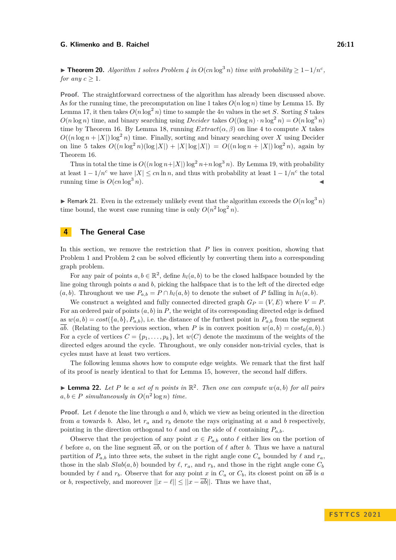<span id="page-10-1"></span>▶ **Theorem 20.** *[Algorithm 1](#page-9-0) solves [Problem 4](#page-3-2) in*  $O(cn \log^3 n)$  *time with probability*  $\geq 1-1/n^c$ *, for any*  $c \geq 1$ *.* 

**Proof.** The straightforward correctness of the algorithm has already been discussed above. As for the running time, the precomputation on line [1](#page-9-3) takes  $O(n \log n)$  time by [Lemma 15.](#page-7-1) By [Lemma 17,](#page-8-1) it then takes  $O(n \log^2 n)$  time to sample the 4*n* values in the set *S*. Sorting *S* takes  $O(n \log n)$  time, and binary searching using *Decider* takes  $O((\log n) \cdot n \log^2 n) = O(n \log^3 n)$ time by [Theorem 16.](#page-7-2) By [Lemma 18,](#page-8-0) running  $Extract(\alpha, \beta)$  on line [4](#page-9-1) to compute X takes  $O((n \log n + |X|) \log^2 n)$  time. Finally, sorting and binary searching over *X* using Decider on line [5](#page-9-4) takes  $O((n \log^2 n)(\log |X|) + |X| \log |X|) = O((n \log n + |X|) \log^2 n)$ , again by [Theorem 16.](#page-7-2)

Thus in total the time is  $O((n \log n + |X|) \log^2 n + n \log^3 n)$ . By [Lemma 19,](#page-9-5) with probability at least  $1 - 1/n^c$  we have  $|X| \leq cn \ln n$ , and thus with probability at least  $1 - 1/n^c$  the total running time is  $O(cn \log^3 n)$ .

**• Remark 21.** Even in the extremely unlikely event that the algorithm exceeds the  $O(n \log^3 n)$ time bound, the worst case running time is only  $O(n^2 \log^2 n)$ .

# <span id="page-10-2"></span>**4 The General Case**

In this section, we remove the restriction that *P* lies in convex position, showing that [Problem 1](#page-3-4) and [Problem 2](#page-3-5) can be solved efficiently by converting them into a corresponding graph problem.

For any pair of points  $a, b \in \mathbb{R}^2$ , define  $h_l(a, b)$  to be the closed halfspace bounded by the line going through points *a* and *b*, picking the halfspace that is to the left of the directed edge (*a, b*). Throughout we use  $P_{a,b} = P \cap h_l(a,b)$  to denote the subset of *P* falling in  $h_l(a,b)$ .

We construct a weighted and fully connected directed graph  $G_P = (V, E)$  where  $V = P$ . For an ordered pair of points  $(a, b)$  in  $P$ , the weight of its corresponding directed edge is defined as  $w(a, b) = cost({a, b}, P_{a,b})$ , i.e. the distance of the furthest point in  $P_{a,b}$  from the segment  $\overline{ab}$ . (Relating to the previous section, when *P* is in convex position  $w(a, b) = cost_0(a, b)$ .) For a cycle of vertices  $C = \{p_1, \ldots, p_k\}$ , let  $w(C)$  denote the maximum of the weights of the directed edges around the cycle. Throughout, we only consider non-trivial cycles, that is cycles must have at least two vertices.

The following lemma shows how to compute edge weights. We remark that the first half of its proof is nearly identical to that for [Lemma 15,](#page-7-1) however, the second half differs.

<span id="page-10-0"></span> $\blacktriangleright$  **Lemma 22.** Let P be a set of *n* points in  $\mathbb{R}^2$ . Then one can compute  $w(a, b)$  for all pairs  $a, b \in P$  *simultaneously in*  $O(n^2 \log n)$  *time.* 

**Proof.** Let  $\ell$  denote the line through  $a$  and  $b$ , which we view as being oriented in the direction from *a* towards *b*. Also, let  $r_a$  and  $r_b$  denote the rays originating at *a* and *b* respectively, pointing in the direction orthogonal to  $\ell$  and on the side of  $\ell$  containing  $P_{a,b}$ .

Observe that the projection of any point  $x \in P_{a,b}$  onto  $\ell$  either lies on the portion of  $\ell$  before *a*, on the line segment  $\overline{ab}$ , or on the portion of  $\ell$  after *b*. Thus we have a natural partition of  $P_{a,b}$  into three sets, the subset in the right angle cone  $C_a$  bounded by  $\ell$  and  $r_a$ , those in the slab  $Slab(a, b)$  bounded by  $\ell$ ,  $r_a$ , and  $r_b$ , and those in the right angle cone  $C_b$ bounded by  $\ell$  and  $r_b$ . Observe that for any point  $x$  in  $C_a$  or  $C_b$ , its closest point on  $\overline{ab}$  is  $a$ or *b*, respectively, and moreover  $||x - \ell|| \le ||x - \overline{ab}||$ . Thus we have that,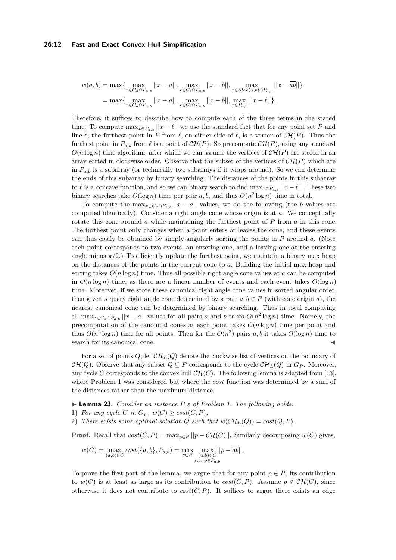#### **26:12 Fast and Exact Convex Hull Simplification**

$$
w(a,b) = \max \{ \max_{x \in C_a \cap P_{a,b}} ||x - a||, \max_{x \in C_b \cap P_{a,b}} ||x - b||, \max_{x \in Slab(a,b) \cap P_{a,b}} ||x - \overline{ab}|| \}
$$
  
= 
$$
\max \{ \max_{x \in C_a \cap P_{a,b}} ||x - a||, \max_{x \in C_b \cap P_{a,b}} ||x - b||, \max_{x \in P_{a,b}} ||x - \ell|| \}.
$$

Therefore, it suffices to describe how to compute each of the three terms in the stated time. To compute  $\max_{x \in P_{a,b}} ||x - \ell||$  we use the standard fact that for any point set *P* and line  $\ell$ , the furthest point in *P* from  $\ell$ , on either side of  $\ell$ , is a vertex of  $\mathcal{CH}(P)$ . Thus the furthest point in  $P_{a,b}$  from  $\ell$  is a point of  $CH(P)$ . So precompute  $CH(P)$ , using any standard  $O(n \log n)$  time algorithm, after which we can assume the vertices of  $\mathcal{CH}(P)$  are stored in an array sorted in clockwise order. Observe that the subset of the vertices of  $\mathcal{CH}(P)$  which are in  $P_{a,b}$  is a subarray (or technically two subarrays if it wraps around). So we can determine the ends of this subarray by binary searching. The distances of the points in this subarray to  $\ell$  is a concave function, and so we can binary search to find  $\max_{x \in P_{a,b}} ||x - \ell||$ . These two binary searches take  $O(\log n)$  time per pair  $a, b$ , and thus  $O(n^2 \log n)$  time in total.

To compute the max<sub>*x*∈*C*<sub>*a*</sub>∩*P*<sub>*a*,*b*</sub> ||*x* − *a*|| values, we do the following (the *b* values are</sub> computed identically). Consider a right angle cone whose origin is at *a*. We conceptually rotate this cone around *a* while maintaining the furthest point of *P* from *a* in this cone. The furthest point only changes when a point enters or leaves the cone, and these events can thus easily be obtained by simply angularly sorting the points in *P* around *a*. (Note each point corresponds to two events, an entering one, and a leaving one at the entering angle minus  $\pi/2$ .) To efficiently update the furthest point, we maintain a binary max heap on the distances of the points in the current cone to *a*. Building the initial max heap and sorting takes  $O(n \log n)$  time. Thus all possible right angle cone values at *a* can be computed in  $O(n \log n)$  time, as there are a linear number of events and each event takes  $O(\log n)$ time. Moreover, if we store these canonical right angle cone values in sorted angular order, then given a query right angle cone determined by a pair  $a, b \in P$  (with cone origin *a*), the nearest canonical cone can be determined by binary searching. Thus in total computing all  $\max_{x \in C_a \cap P_{a,b}} ||x - a||$  values for all pairs *a* and *b* takes  $O(n^2 \log n)$  time. Namely, the precomputation of the canonical cones at each point takes  $O(n \log n)$  time per point and thus  $O(n^2 \log n)$  time for all points. Then for the  $O(n^2)$  pairs a, b it takes  $O(\log n)$  time to search for its canonical cone. ◀

For a set of points  $Q$ , let  $\mathcal{CH}_L(Q)$  denote the clockwise list of vertices on the boundary of  $CH(Q)$ . Observe that any subset  $Q \subseteq P$  corresponds to the cycle  $CH<sub>L</sub>(Q)$  in  $G<sub>P</sub>$ . Moreover, any cycle *C* corresponds to the convex hull  $\mathcal{CH}(C)$ . The following lemma is adapted from [\[13\]](#page-15-4), where [Problem 1](#page-3-4) was considered but where the *cost* function was determined by a sum of the distances rather than the maximum distance.

<span id="page-11-0"></span>▶ **Lemma 23.** *Consider an instance P, ε of [Problem 1.](#page-3-4) The following holds:*

- 1) *For any cycle C in*  $G_P$ *,*  $w(C) \geq cost(C, P)$ *,*
- **2)** *There exists some optimal solution Q such that*  $w(\mathcal{CH}_L(Q)) = cost(Q, P)$ *.*

**Proof.** Recall that  $cost(C, P) = \max_{p \in P} ||p - \mathcal{CH}(C)||$ . Similarly decomposing  $w(C)$  gives,

$$
w(C) = \max_{(a,b)\in C} cost(\{a,b\}, P_{a,b}) = \max_{p\in P} \max_{\substack{(a,b)\in C \\ \text{s.t. } p\in P_{a,b}}} ||p - \overline{ab}||.
$$

To prove the first part of the lemma, we argue that for any point  $p \in P$ , its contribution to  $w(C)$  is at least as large as its contribution to  $cost(C, P)$ . Assume  $p \notin \mathcal{CH}(C)$ , since otherwise it does not contribute to  $cost(C, P)$ . It suffices to argue there exists an edge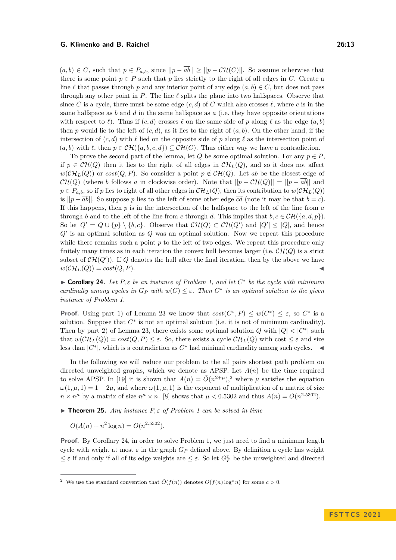$(a, b) \in C$ , such that  $p \in P_{a,b}$ , since  $||p - \overline{ab}|| \ge ||p - \mathcal{CH}(C)||$ . So assume otherwise that there is some point  $p \in P$  such that *p* lies strictly to the right of all edges in *C*. Create a line  $\ell$  that passes through *p* and any interior point of any edge  $(a, b) \in C$ , but does not pass through any other point in  $P$ . The line  $\ell$  splits the plane into two halfspaces. Observe that since *C* is a cycle, there must be some edge  $(c, d)$  of *C* which also crosses  $\ell$ , where *c* is in the same halfspace as *b* and *d* in the same halfspace as *a* (i.e. they have opposite orientations with respect to  $\ell$ ). Thus if  $(c, d)$  crosses  $\ell$  on the same side of  $p$  along  $\ell$  as the edge  $(a, b)$ then *p* would lie to the left of  $(c, d)$ , as it lies to the right of  $(a, b)$ . On the other hand, if the intersection of  $(c, d)$  with  $\ell$  lied on the opposite side of p along  $\ell$  as the intersection point of  $(a, b)$  with  $\ell$ , then  $p \in \mathcal{CH}(\{a, b, c, d\}) \subseteq \mathcal{CH}(C)$ . Thus either way we have a contradiction.

To prove the second part of the lemma, let *Q* be some optimal solution. For any  $p \in P$ , if  $p \in \mathcal{CH}(Q)$  then it lies to the right of all edges in  $\mathcal{CH}_L(Q)$ , and so it does not affect  $w(\mathcal{CH}_L(Q))$  or  $cost(Q, P)$ . So consider a point  $p \notin \mathcal{CH}(Q)$ . Let  $\overline{ab}$  be the closest edge of  $\mathcal{CH}(Q)$  (where *b* follows *a* in clockwise order). Note that  $||p - \mathcal{CH}(Q)|| = ||p - \overline{ab}||$  and  $p \in P_{a,b}$ , so if *p* lies to right of all other edges in  $\mathcal{CH}_L(Q)$ , then its contribution to  $w(\mathcal{CH}_L(Q))$ is  $||p - \overline{ab}||$ . So suppose *p* lies to the left of some other edge  $\overline{cd}$  (note it may be that  $b = c$ ). If this happens, then *p* is in the intersection of the halfspace to the left of the line from *a* through *b* and to the left of the line from *c* through *d*. This implies that  $b, c \in \mathcal{CH}(\{a, d, p\})$ . So let  $Q' = Q \cup \{p\} \setminus \{b, c\}$ . Observe that  $\mathcal{CH}(Q) \subset \mathcal{CH}(Q')$  and  $|Q'| \leq |Q|$ , and hence *Q*′ is an optimal solution as *Q* was an optimal solution. Now we repeat this procedure while there remains such a point *p* to the left of two edges. We repeat this procedure only finitely many times as in each iteration the convex hull becomes larger (i.e.  $\mathcal{CH}(Q)$ ) is a strict subset of  $\mathcal{CH}(Q')$ ). If Q denotes the hull after the final iteration, then by the above we have  $w(\mathcal{CH}_L(Q)) = cost(Q, P).$ 

<span id="page-12-1"></span>▶ **Corollary 24.** *Let P, ε be an instance of [Problem 1,](#page-3-4) and let C* ∗ *be the cycle with minimum cardinalty among cycles in*  $G_P$  *with*  $w(C) \leq \varepsilon$ . Then  $C^*$  *is an optimal solution to the given instance of [Problem 1.](#page-3-4)*

**Proof.** Using part 1) of [Lemma 23](#page-11-0) we know that  $cost(C^*, P) \leq w(C^*) \leq \varepsilon$ , so  $C^*$  is a solution. Suppose that  $C^*$  is not an optimal solution (i.e. it is not of minimum cardinality). Then by part 2) of [Lemma 23,](#page-11-0) there exists some optimal solution *Q* with  $|Q| < |C^*|$  such that  $w(\mathcal{CH}_L(Q)) = \cos(t(Q, P) \leq \varepsilon$ . So, there exists a cycle  $\mathcal{CH}_L(Q)$  with cost  $\leq \varepsilon$  and size less than  $|C^*|$ , which is a contradiction as  $C^*$  had minimal cardinality among such cycles.  $\blacktriangleleft$ 

In the following we will reduce our problem to the all pairs shortest path problem on directed unweighted graphs, which we denote as APSP. Let  $A(n)$  be the time required to solve APSP. In [\[19\]](#page-16-2) it is shown that  $A(n) = \tilde{O}(n^{2+\mu})$  $A(n) = \tilde{O}(n^{2+\mu})$  $A(n) = \tilde{O}(n^{2+\mu})$ , where  $\mu$  satisfies the equation  $\omega(1, \mu, 1) = 1 + 2\mu$ , and where  $\omega(1, \mu, 1)$  is the exponent of multiplication of a matrix of size  $n \times n^{\mu}$  by a matrix of size  $n^{\mu} \times n$ . [\[8\]](#page-15-13) shows that  $\mu < 0.5302$  and thus  $A(n) = O(n^{2.5302})$ .

<span id="page-12-2"></span> $\triangleright$  **Theorem 25.** *Any instance*  $P, \varepsilon$  *of [Problem 1](#page-3-4) can be solved in time* 

$$
O(A(n) + n^2 \log n) = O(n^{2.5302}).
$$

**Proof.** By [Corollary 24,](#page-12-1) in order to solve [Problem 1,](#page-3-4) we just need to find a minimum length cycle with weight at most  $\varepsilon$  in the graph  $G_P$  defined above. By definition a cycle has weight  $\leq \varepsilon$  if and only if all of its edge weights are  $\leq \varepsilon$ . So let  $G_P^{\varepsilon}$  be the unweighted and directed

<span id="page-12-0"></span><sup>&</sup>lt;sup>2</sup> We use the standard convention that  $\tilde{O}(f(n))$  denotes  $O(f(n) \log^c n)$  for some  $c > 0$ .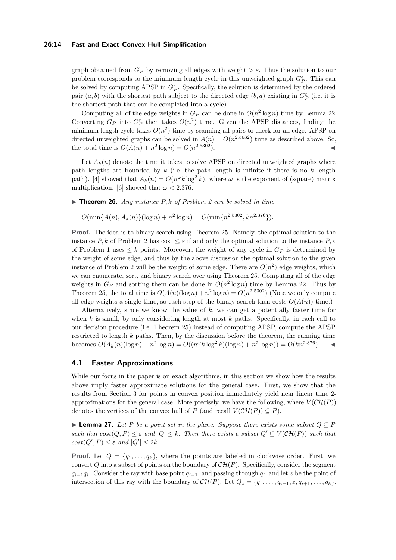### **26:14 Fast and Exact Convex Hull Simplification**

graph obtained from  $G_P$  by removing all edges with weight  $\geq \varepsilon$ . Thus the solution to our problem corresponds to the minimum length cycle in this unweighted graph  $G_{\cal P}^{\varepsilon}$ . This can be solved by computing APSP in  $G_P^{\varepsilon}$ . Specifically, the solution is determined by the ordered pair  $(a, b)$  with the shortest path subject to the directed edge  $(b, a)$  existing in  $G_P^{\varepsilon}$  (i.e. it is the shortest path that can be completed into a cycle).

Computing all of the edge weights in  $G_P$  can be done in  $O(n^2 \log n)$  time by [Lemma 22.](#page-10-0) Converting  $G_P$  into  $G_P^{\varepsilon}$  then takes  $O(n^2)$  time. Given the APSP distances, finding the minimum length cycle takes  $O(n^2)$  time by scanning all pairs to check for an edge. APSP on directed unweighted graphs can be solved in  $A(n) = O(n^{2.5032})$  time as described above. So, the total time is  $O(A(n) + n^2 \log n) = O(n^{2.5302})$ .

Let  $A_k(n)$  denote the time it takes to solve APSP on directed unweighted graphs where path lengths are bounded by  $k$  (i.e. the path length is infinite if there is no  $k$  length path). [\[4\]](#page-15-14) showed that  $A_k(n) = O(n^{\omega}k \log^2 k)$ , where  $\omega$  is the exponent of (square) matrix multiplication. [\[6\]](#page-15-15) showed that  $\omega < 2.376$ .

<span id="page-13-0"></span>▶ **Theorem 26.** *Any instance P, k of [Problem 2](#page-3-5) can be solved in time*

 $O(\min\{A(n), A_k(n)\}(\log n) + n^2 \log n) = O(\min\{n^{2.5302}, kn^{2.376}\}).$ 

**Proof.** The idea is to binary search using [Theorem 25.](#page-12-2) Namely, the optimal solution to the instance *P*, *k* of [Problem 2](#page-3-5) has cost  $\leq \varepsilon$  if and only the optimal solution to the instance *P*,  $\varepsilon$ of [Problem 1](#page-3-4) uses  $\leq k$  points. Moreover, the weight of any cycle in  $G_P$  is determined by the weight of some edge, and thus by the above discussion the optimal solution to the given instance of [Problem 2](#page-3-5) will be the weight of some edge. There are  $O(n^2)$  edge weights, which we can enumerate, sort, and binary search over using [Theorem 25.](#page-12-2) Computing all of the edge weights in  $G_P$  and sorting them can be done in  $O(n^2 \log n)$  time by [Lemma 22.](#page-10-0) Thus by [Theorem 25,](#page-12-2) the total time is  $O(A(n)(\log n) + n^2 \log n) = O(n^{2.5302})$  (Note we only compute all edge weights a single time, so each step of the binary search then costs  $O(A(n))$  time.)

Alternatively, since we know the value of *k*, we can get a potentially faster time for when *k* is small, by only considering length at most *k* paths. Specifically, in each call to our decision procedure (i.e. [Theorem 25\)](#page-12-2) instead of computing APSP, compute the APSP restricted to length *k* paths. Then, by the discussion before the theorem, the running time  $b$ ecomes  $O(A_k(n)(\log n) + n^2 \log n) = O((n^{\omega} k \log^2 k)(\log n) + n^2 \log n)) = O(kn^{2.376})$ .

# **4.1 Faster Approximations**

While our focus in the paper is on exact algorithms, in this section we show how the results above imply faster approximate solutions for the general case. First, we show that the results from [Section 3](#page-3-6) for points in convex position immediately yield near linear time 2 approximations for the general case. More precisely, we have the following, where  $V(\mathcal{CH}(P))$ denotes the vertices of the convex hull of *P* (and recall  $V(\mathcal{CH}(P)) \subseteq P$ ).

▶ **Lemma 27.** *Let P be a point set in the plane. Suppose there exists some subset Q* ⊆ *P such that*  $cost(Q, P) \leq \varepsilon$  *and*  $|Q| \leq k$ *. Then there exists a subset*  $Q' \subseteq V(\mathcal{CH}(P))$  *such that*  $cost(Q', P) \leq \varepsilon$  *and*  $|Q'| \leq 2k$ *.* 

**Proof.** Let  $Q = \{q_1, \ldots, q_k\}$ , where the points are labeled in clockwise order. First, we convert *Q* into a subset of points on the boundary of  $\mathcal{CH}(P)$ . Specifically, consider the segment  $\overline{q_{i-1}q_i}$ . Consider the ray with base point  $q_{i-1}$ , and passing through  $q_i$ , and let *z* be the point of intersection of this ray with the boundary of  $\mathcal{CH}(P)$ . Let  $Q_z = \{q_1, \ldots, q_{i-1}, z, q_{i+1}, \ldots, q_k\}$ ,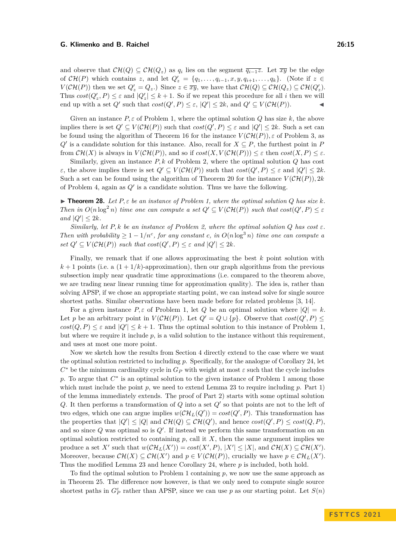and observe that  $\mathcal{CH}(Q) \subseteq \mathcal{CH}(Q_z)$  as  $q_i$  lies on the segment  $\overline{q_{i-1}z}$ . Let  $\overline{xy}$  be the edge of  $\mathcal{CH}(P)$  which contains *z*, and let  $Q'_z = \{q_1, \ldots, q_{i-1}, x, y, q_{i+1}, \ldots, q_k\}$ . (Note if  $z \in$  $V(\mathcal{CH}(P))$  then we set  $Q'_z = Q_z$ .) Since  $z \in \overline{xy}$ , we have that  $\mathcal{CH}(Q) \subseteq \mathcal{CH}(Q_z) \subseteq \mathcal{CH}(Q'_z)$ . Thus  $cost(Q'_z, P) \leq \varepsilon$  and  $|Q'_z| \leq k + 1$ . So if we repeat this procedure for all *i* then we will end up with a set  $Q'$  such that  $cost(Q', P) \leq \varepsilon$ ,  $|Q'| \leq 2k$ , and  $Q' \subseteq V(\mathcal{CH}(P))$ .

Given an instance  $P, \varepsilon$  of [Problem 1,](#page-3-4) where the optimal solution  $Q$  has size  $k$ , the above implies there is set  $Q' \subseteq V(\mathcal{CH}(P))$  such that  $cost(Q', P) \leq \varepsilon$  and  $|Q'| \leq 2k$ . Such a set can be found using the algorithm of [Theorem 16](#page-7-2) for the instance  $V(\mathcal{CH}(P))$ ,  $\varepsilon$  of [Problem 3,](#page-3-1) as  $Q'$  is a candidate solution for this instance. Also, recall for  $X \subseteq P$ , the furthest point in *P* from  $\mathcal{CH}(X)$  is always in  $V(\mathcal{CH}(P))$ , and so if  $cost(X, V(\mathcal{CH}(P))) \leq \varepsilon$  then  $cost(X, P) \leq \varepsilon$ .

Similarly, given an instance *P, k* of [Problem 2,](#page-3-5) where the optimal solution *Q* has cost *ε*, the above implies there is set  $Q' \subseteq V(\mathcal{CH}(P))$  such that  $cost(Q', P) \leq \varepsilon$  and  $|Q'| \leq 2k$ . Such a set can be found using the algorithm of [Theorem 20](#page-10-1) for the instance  $V(\mathcal{CH}(P))$ , 2*k* of [Problem 4,](#page-3-2) again as *Q*′ is a candidate solution. Thus we have the following.

 $\triangleright$  **Theorem 28.** Let  $P, \varepsilon$  be an instance of [Problem 1,](#page-3-4) where the optimal solution  $Q$  has size  $k$ . *Then in*  $O(n \log^2 n)$  *time one can compute a set*  $Q' \subseteq V(\mathcal{CH}(P))$  *such that*  $cost(Q', P) \leq \varepsilon$  $|Q'| \leq 2k$ *.* 

*Similarly, let*  $P, k$  *be an instance of [Problem 2,](#page-3-5) where the optimal solution*  $Q$  *has cost*  $\varepsilon$ *. Then with probability*  $\geq 1 - 1/n^c$ , for any constant c, in  $O(n \log^3 n)$  time one can compute a *set*  $Q' \subseteq V(\mathcal{CH}(P))$  *such that*  $cost(Q', P) \leq \varepsilon$  *and*  $|Q'| \leq 2k$ *.* 

Finally, we remark that if one allows approximating the best *k* point solution with  $k+1$  points (i.e. a  $(1+1/k)$ -approximation), then our graph algorithms from the previous subsection imply near quadratic time approximations (i.e. compared to the theorem above, we are trading near linear running time for approximation quality). The idea is, rather than solving APSP, if we chose an appropriate starting point, we can instead solve for single source shortest paths. Similar observations have been made before for related problems [\[3,](#page-15-5) [14\]](#page-15-6).

For a given instance  $P, \varepsilon$  of [Problem 1,](#page-3-4) let  $Q$  be an optimal solution where  $|Q| = k$ . Let *p* be an arbitrary point in  $V(\mathcal{CH}(P))$ . Let  $Q' = Q \cup \{p\}$ . Observe that  $cost(Q', P) \le$  $cost(Q, P) \leq \varepsilon$  and  $|Q'| \leq k + 1$ . Thus the optimal solution to this instance of [Problem 1,](#page-3-4) but where we require it include  $p$ , is a valid solution to the instance without this requirement, and uses at most one more point.

Now we sketch how the results from [Section 4](#page-10-2) directly extend to the case where we want the optimal solution restricted to including *p*. Specifically, for the analogue of [Corollary 24,](#page-12-1) let  $C^*$  be the minimum cardinality cycle in  $G_P$  with weight at most  $\varepsilon$  such that the cycle includes p. To argue that  $C^*$  is an optimal solution to the given instance of [Problem 1](#page-3-4) among those which must include the point  $p$ , we need to extend [Lemma 23](#page-11-0) to require including  $p$ . Part 1) of the lemma immediately extends. The proof of Part 2) starts with some optimal solution *Q*. It then performs a transformation of *Q* into a set *Q*′ so that points are not to the left of two edges, which one can argue implies  $w(\mathcal{CH}_L(Q')) = cost(Q', P)$ . This transformation has the properties that  $|Q'| \leq |Q|$  and  $\mathcal{CH}(Q) \subseteq \mathcal{CH}(Q')$ , and hence  $cost(Q', P) \leq cost(Q, P)$ , and so since *Q* was optimal so is *Q*′ . If instead we perform this same transformation on an optimal solution restricted to containing *p*, call it *X*, then the same argument implies we produce a set *X'* such that  $w(\mathcal{CH}_L(X')) = cost(X', P), |X'| \leq |X|$ , and  $\mathcal{CH}(X) \subseteq \mathcal{CH}(X')$ . Moreover, because  $\mathcal{CH}(X) \subseteq \mathcal{CH}(X')$  and  $p \in V(\mathcal{CH}(P))$ , crucially we have  $p \in \mathcal{CH}_L(X')$ . Thus the modified [Lemma 23](#page-11-0) and hence [Corollary 24,](#page-12-1) where *p* is included, both hold.

To find the optimal solution to [Problem 1](#page-3-4) containing *p*, we now use the same approach as in [Theorem 25.](#page-12-2) The difference now however, is that we only need to compute single source shortest paths in  $G_P^{\varepsilon}$  rather than APSP, since we can use *p* as our starting point. Let  $S(n)$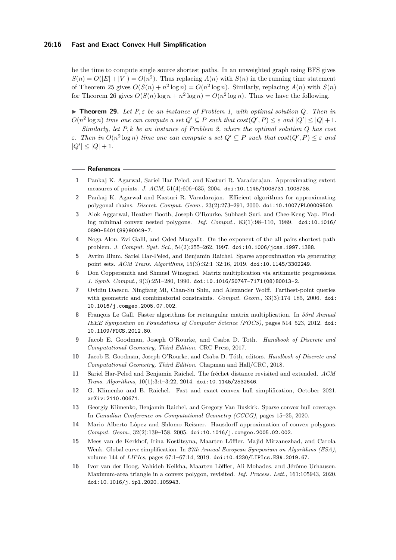be the time to compute single source shortest paths. In an unweighted graph using BFS gives  $S(n) = O(|E| + |V|) = O(n^2)$ . Thus replacing  $A(n)$  with  $S(n)$  in the running time statement of [Theorem 25](#page-12-2) gives  $O(S(n) + n^2 \log n) = O(n^2 \log n)$ . Similarly, replacing  $A(n)$  with  $S(n)$ for [Theorem 26](#page-13-0) gives  $O(S(n) \log n + n^2 \log n) = O(n^2 \log n)$ . Thus we have the following.

 $\triangleright$  **Theorem 29.** Let  $P, \varepsilon$  be an instance of [Problem 1,](#page-3-4) with optimal solution Q. Then in  $O(n^2 \log n)$  *time one can compute a set*  $Q' \subseteq P$  *such that*  $cost(Q', P) \leq \varepsilon$  *and*  $|Q'| \leq |Q| + 1$ *.* 

*Similarly, let P, k be an instance of [Problem 2,](#page-3-5) where the optimal solution Q has cost ε. Then in*  $O(n^2 \log n)$  *time one can compute a set*  $Q' \subseteq P$  *such that*  $cost(Q', P) \leq \varepsilon$  *and*  $|Q'| \leq |Q| + 1.$ 

#### **References**

- <span id="page-15-2"></span>**1** Pankaj K. Agarwal, Sariel Har-Peled, and Kasturi R. Varadarajan. Approximating extent measures of points. *J. ACM*, 51(4):606–635, 2004. [doi:10.1145/1008731.1008736](https://doi.org/10.1145/1008731.1008736).
- <span id="page-15-8"></span>**2** Pankaj K. Agarwal and Kasturi R. Varadarajan. Efficient algorithms for approximating polygonal chains. *Discret. Comput. Geom.*, 23(2):273–291, 2000. [doi:10.1007/PL00009500](https://doi.org/10.1007/PL00009500).
- <span id="page-15-5"></span>**3** Alok Aggarwal, Heather Booth, Joseph O'Rourke, Subhash Suri, and Chee-Keng Yap. Finding minimal convex nested polygons. *Inf. Comput.*, 83(1):98–110, 1989. [doi:10.1016/](https://doi.org/10.1016/0890-5401(89)90049-7) [0890-5401\(89\)90049-7](https://doi.org/10.1016/0890-5401(89)90049-7).
- <span id="page-15-14"></span>**4** Noga Alon, Zvi Galil, and Oded Margalit. On the exponent of the all pairs shortest path problem. *J. Comput. Syst. Sci.*, 54(2):255–262, 1997. [doi:10.1006/jcss.1997.1388](https://doi.org/10.1006/jcss.1997.1388).
- <span id="page-15-3"></span>**5** Avrim Blum, Sariel Har-Peled, and Benjamin Raichel. Sparse approximation via generating point sets. *ACM Trans. Algorithms*, 15(3):32:1–32:16, 2019. [doi:10.1145/3302249](https://doi.org/10.1145/3302249).
- <span id="page-15-15"></span>**6** Don Coppersmith and Shmuel Winograd. Matrix multiplication via arithmetic progressions. *J. Symb. Comput.*, 9(3):251–280, 1990. [doi:10.1016/S0747-7171\(08\)80013-2](https://doi.org/10.1016/S0747-7171(08)80013-2).
- <span id="page-15-11"></span>**7** Ovidiu Daescu, Ningfang Mi, Chan-Su Shin, and Alexander Wolff. Farthest-point queries with geometric and combinatorial constraints. *Comput. Geom.*, 33(3):174–185, 2006. [doi:](https://doi.org/10.1016/j.comgeo.2005.07.002) [10.1016/j.comgeo.2005.07.002](https://doi.org/10.1016/j.comgeo.2005.07.002).
- <span id="page-15-13"></span>**8** François Le Gall. Faster algorithms for rectangular matrix multiplication. In *53rd Annual IEEE Symposium on Foundations of Computer Science (FOCS)*, pages 514–523, 2012. [doi:](https://doi.org/10.1109/FOCS.2012.80) [10.1109/FOCS.2012.80](https://doi.org/10.1109/FOCS.2012.80).
- <span id="page-15-1"></span>**9** Jacob E. Goodman, Joseph O'Rourke, and Csaba D. Toth. *Handbook of Discrete and Computational Geometry, Third Edition*. CRC Press, 2017.
- <span id="page-15-10"></span>**10** Jacob E. Goodman, Joseph O'Rourke, and Csaba D. Tóth, editors. *Handbook of Discrete and Computational Geometry, Third Edition*. Chapman and Hall/CRC, 2018.
- <span id="page-15-12"></span>**11** Sariel Har-Peled and Benjamin Raichel. The fréchet distance revisited and extended. *ACM Trans. Algorithms*, 10(1):3:1–3:22, 2014. [doi:10.1145/2532646](https://doi.org/10.1145/2532646).
- <span id="page-15-0"></span>**12** G. Klimenko and B. Raichel. Fast and exact convex hull simplification, October 2021. [arXiv:2110.00671](http://arxiv.org/abs/2110.00671).
- <span id="page-15-4"></span>**13** Georgiy Klimenko, Benjamin Raichel, and Gregory Van Buskirk. Sparse convex hull coverage. In *Canadian Conference on Computational Geometry (CCCG)*, pages 15–25, 2020.
- <span id="page-15-6"></span>**14** Mario Alberto López and Shlomo Reisner. Hausdorff approximation of convex polygons. *Comput. Geom.*, 32(2):139–158, 2005. [doi:10.1016/j.comgeo.2005.02.002](https://doi.org/10.1016/j.comgeo.2005.02.002).
- <span id="page-15-7"></span>**15** Mees van de Kerkhof, Irina Kostitsyna, Maarten Löffler, Majid Mirzanezhad, and Carola Wenk. Global curve simplification. In *27th Annual European Symposium on Algorithms (ESA)*, volume 144 of *LIPIcs*, pages 67:1–67:14, 2019. [doi:10.4230/LIPIcs.ESA.2019.67](https://doi.org/10.4230/LIPIcs.ESA.2019.67).
- <span id="page-15-9"></span>**16** Ivor van der Hoog, Vahideh Keikha, Maarten Löffler, Ali Mohades, and Jérôme Urhausen. Maximum-area triangle in a convex polygon, revisited. *Inf. Process. Lett.*, 161:105943, 2020. [doi:10.1016/j.ipl.2020.105943](https://doi.org/10.1016/j.ipl.2020.105943).